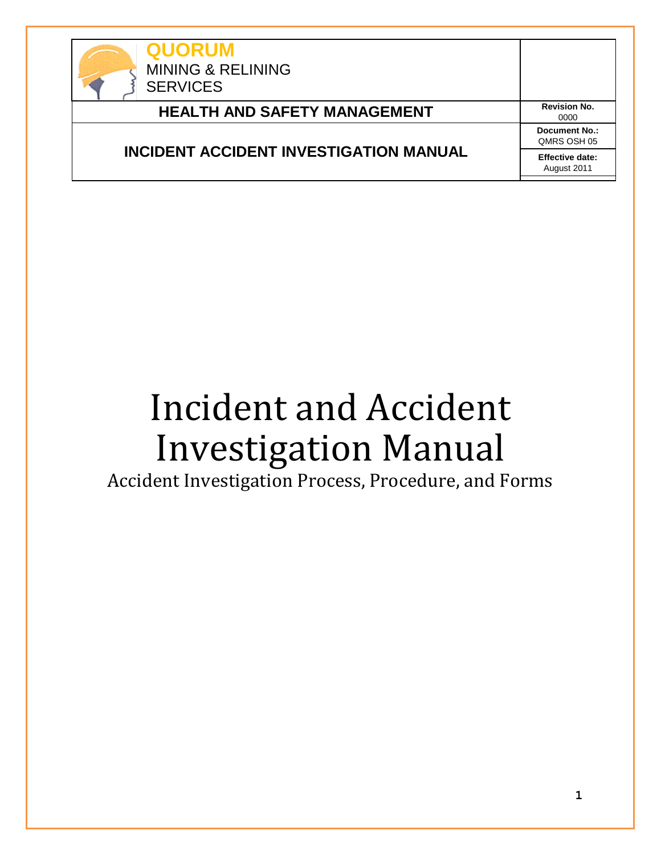

# **HEALTH AND SAFETY MANAGEMENT** Revision No.

# **INCIDENT ACCIDENT INVESTIGATION MANUAL**

0000 **Document No.:** QMRS OSH 05 **Effective date:** August 2011

# Incident and Accident Investigation Manual

Accident Investigation Process, Procedure, and Forms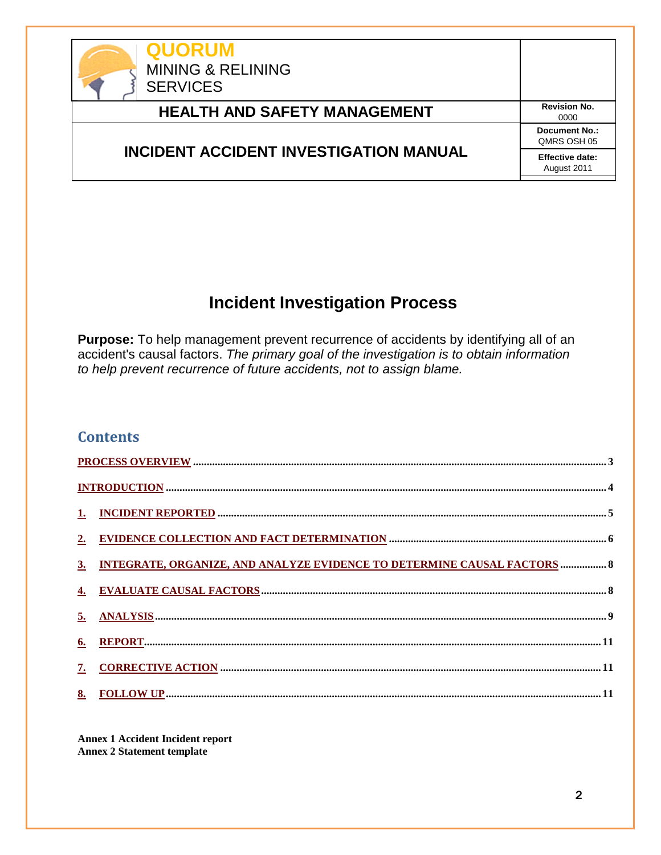

# **HEALTH AND SAFETY MANAGEMENT** Revision No.

## **INCIDENT ACCIDENT INVESTIGATION MANUAL**

0000 **Document No.:** QMRS OSH 05 **Effective date:** August 2011

# **Incident Investigation Process**

**Purpose:** To help management prevent recurrence of accidents by identifying all of an accident's causal factors. *The primary goal of the investigation is to obtain information to help prevent recurrence of future accidents, not to assign blame.*

#### **Contents**

|    | 3. INTEGRATE, ORGANIZE, AND ANALYZE EVIDENCE TO DETERMINE CAUSAL FACTORS  8 |  |
|----|-----------------------------------------------------------------------------|--|
|    |                                                                             |  |
|    |                                                                             |  |
|    |                                                                             |  |
| 7. |                                                                             |  |
|    |                                                                             |  |

**Annex 1 Accident Incident report Annex 2 Statement template**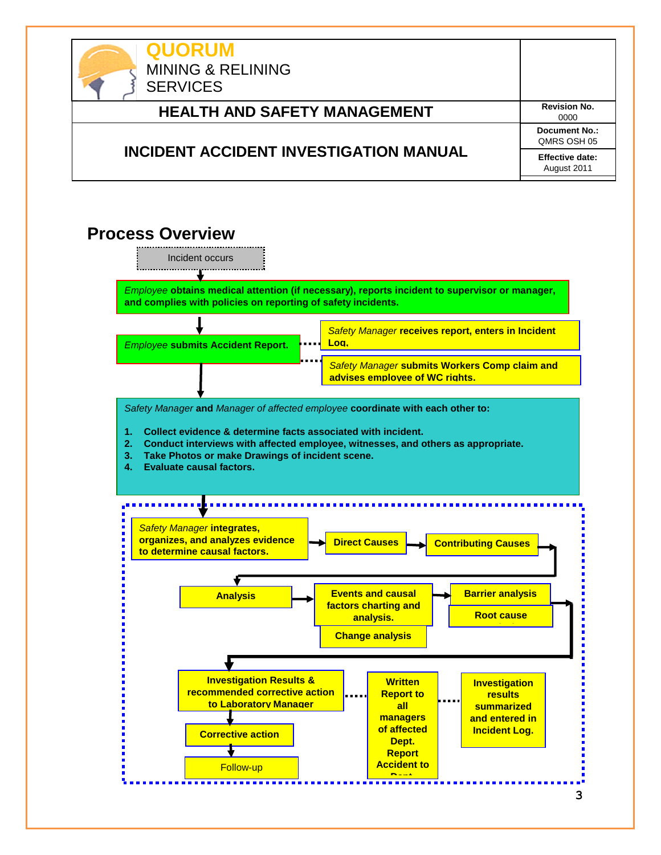

# <span id="page-2-0"></span> **Process Overview**

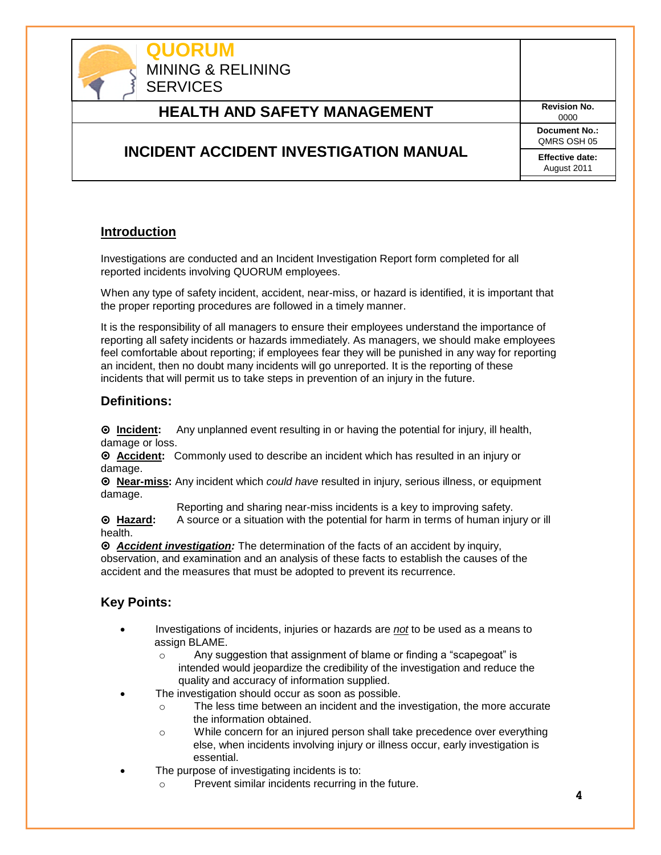

#### <span id="page-3-0"></span>**Introduction**

Investigations are conducted and an Incident Investigation Report form completed for all reported incidents involving QUORUM employees.

When any type of safety incident, accident, near-miss, or hazard is identified, it is important that the proper reporting procedures are followed in a timely manner.

It is the responsibility of all managers to ensure their employees understand the importance of reporting all safety incidents or hazards immediately. As managers, we should make employees feel comfortable about reporting; if employees fear they will be punished in any way for reporting an incident, then no doubt many incidents will go unreported. It is the reporting of these incidents that will permit us to take steps in prevention of an injury in the future.

#### **Definitions:**

 **Incident:** Any unplanned event resulting in or having the potential for injury, ill health, damage or loss.

 **Accident:** Commonly used to describe an incident which has resulted in an injury or damage.

 **Near-miss:** Any incident which *could have* resulted in injury, serious illness, or equipment damage.

Reporting and sharing near-miss incidents is a key to improving safety.

 **Hazard:** A source or a situation with the potential for harm in terms of human injury or ill health.

 *Accident investigation:* The determination of the facts of an accident by inquiry, observation, and examination and an analysis of these facts to establish the causes of the accident and the measures that must be adopted to prevent its recurrence.

#### **Key Points:**

- Investigations of incidents, injuries or hazards are *not* to be used as a means to assign BLAME.
	- o Any suggestion that assignment of blame or finding a "scapegoat" is intended would jeopardize the credibility of the investigation and reduce the quality and accuracy of information supplied.
- The investigation should occur as soon as possible.
	- o The less time between an incident and the investigation, the more accurate the information obtained.
	- o While concern for an injured person shall take precedence over everything else, when incidents involving injury or illness occur, early investigation is essential.
- The purpose of investigating incidents is to:
	- o Prevent similar incidents recurring in the future.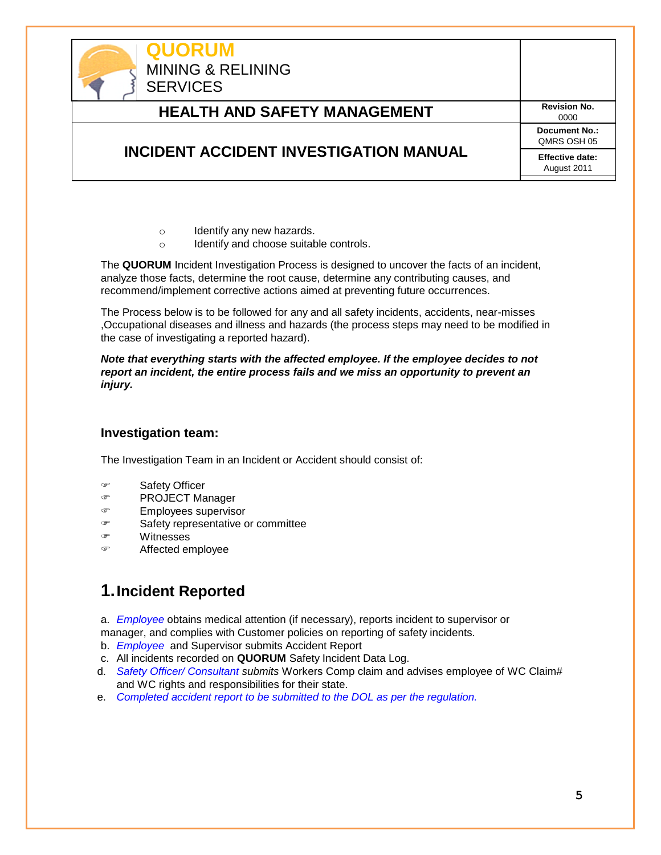

- o Identify any new hazards.
- o Identify and choose suitable controls.

The **QUORUM** Incident Investigation Process is designed to uncover the facts of an incident, analyze those facts, determine the root cause, determine any contributing causes, and recommend/implement corrective actions aimed at preventing future occurrences.

The Process below is to be followed for any and all safety incidents, accidents, near-misses ,Occupational diseases and illness and hazards (the process steps may need to be modified in the case of investigating a reported hazard).

*Note that everything starts with the affected employee. If the employee decides to not report an incident, the entire process fails and we miss an opportunity to prevent an injury.*

#### **Investigation team:**

The Investigation Team in an Incident or Accident should consist of:

- Safety Officer
- PROJECT Manager
- Employees supervisor
- Safety representative or committee
- Witnesses
- Affected employee

## <span id="page-4-0"></span>**1.Incident Reported**

a. *Employee* obtains medical attention (if necessary), reports incident to supervisor or manager, and complies with Customer policies on reporting of safety incidents.

- b. *Employee* and Supervisor submits Accident Report
- c. All incidents recorded on **QUORUM** Safety Incident Data Log.
- d. *Safety Officer/ Consultant submits* Workers Comp claim and advises employee of WC Claim# and WC rights and responsibilities for their state.
- e. *Completed accident report to be submitted to the DOL as per the regulation.*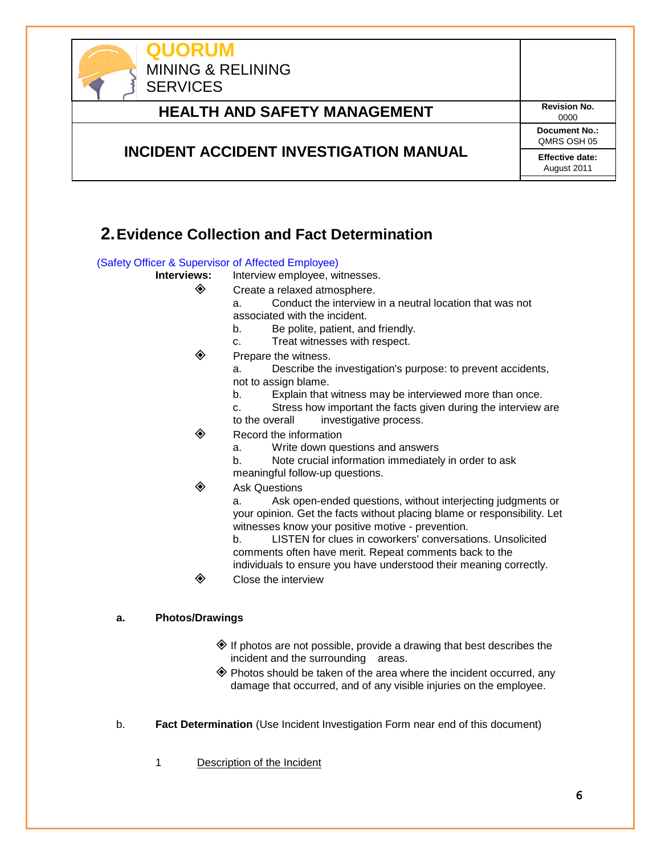

## <span id="page-5-0"></span>**2.Evidence Collection and Fact Determination**

#### (Safety Officer & Supervisor of Affected Employee)

- **Interviews:** Interview employee, witnesses.
	- ◆ Create a relaxed atmosphere.
		- a. Conduct the interview in a neutral location that was not associated with the incident.
		- b. Be polite, patient, and friendly.
		- c. Treat witnesses with respect.
	- $\diamondsuit$  Prepare the witness.
		- a. Describe the investigation's purpose: to prevent accidents, not to assign blame.
		- b. Explain that witness may be interviewed more than once.
		- c. Stress how important the facts given during the interview are to the overall investigative process.
	- $\diamondsuit$  Record the information
		- a. Write down questions and answers
		- b. Note crucial information immediately in order to ask
		- meaningful follow-up questions.
	- Ask Questions

a. Ask open-ended questions, without interjecting judgments or your opinion. Get the facts without placing blame or responsibility. Let witnesses know your positive motive - prevention.

b. LISTEN for clues in coworkers' conversations. Unsolicited comments often have merit. Repeat comments back to the individuals to ensure you have understood their meaning correctly.

**◈** Close the interview

#### **a. Photos/Drawings**

- $\diamondsuit$  If photos are not possible, provide a drawing that best describes the incident and the surrounding areas.
- Photos should be taken of the area where the incident occurred, any damage that occurred, and of any visible injuries on the employee.
- b. **Fact Determination** (Use Incident Investigation Form near end of this document)
	- 1 Description of the Incident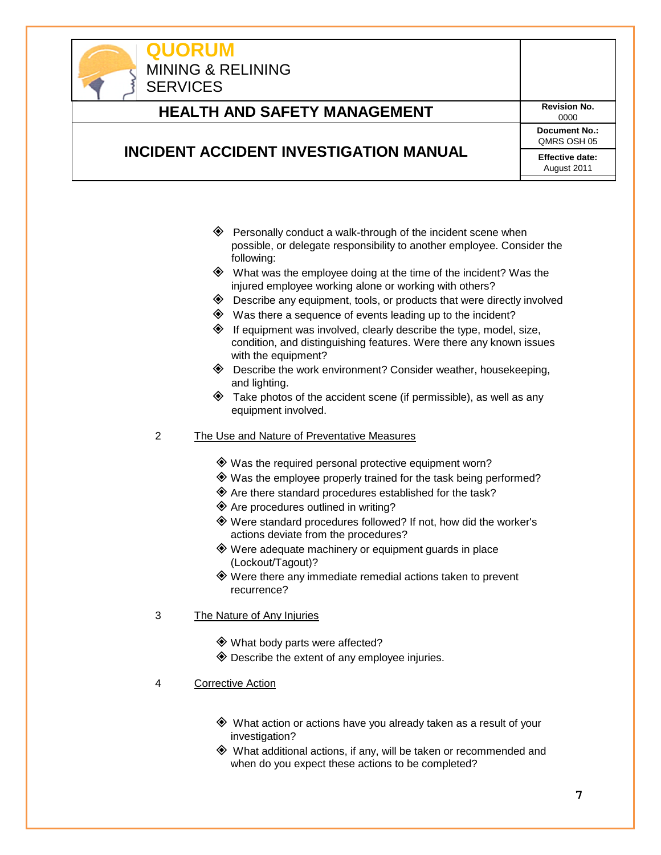

# **HEALTH AND SAFETY MANAGEMENT** Revision No.

0000 **Document No.:** QMRS OSH 05 **Effective date:**

#### **INCIDENT ACCIDENT INVESTIGATION MANUAL**

August 2011

- $\diamondsuit$  Personally conduct a walk-through of the incident scene when possible, or delegate responsibility to another employee. Consider the following:
- $\diamondsuit$  What was the employee doing at the time of the incident? Was the injured employee working alone or working with others?
- $\diamondsuit$  Describe any equipment, tools, or products that were directly involved
- $\diamondsuit$  Was there a sequence of events leading up to the incident?
- $\diamondsuit$  If equipment was involved, clearly describe the type, model, size, condition, and distinguishing features. Were there any known issues with the equipment?
- ◆ Describe the work environment? Consider weather, housekeeping, and lighting.
- $\diamondsuit$  Take photos of the accident scene (if permissible), as well as any equipment involved.
- 2 The Use and Nature of Preventative Measures
	- Was the required personal protective equipment worn?
	- Was the employee properly trained for the task being performed?
	- $\diamondsuit$  Are there standard procedures established for the task?
	- $\diamondsuit$  Are procedures outlined in writing?
	- Were standard procedures followed? If not, how did the worker's actions deviate from the procedures?
	- Were adequate machinery or equipment guards in place (Lockout/Tagout)?
	- Were there any immediate remedial actions taken to prevent recurrence?
- 3 The Nature of Any Injuries
	- What body parts were affected?
	- $\diamondsuit$  Describe the extent of any employee injuries.
- 4 Corrective Action
	- What action or actions have you already taken as a result of your investigation?
	- What additional actions, if any, will be taken or recommended and when do you expect these actions to be completed?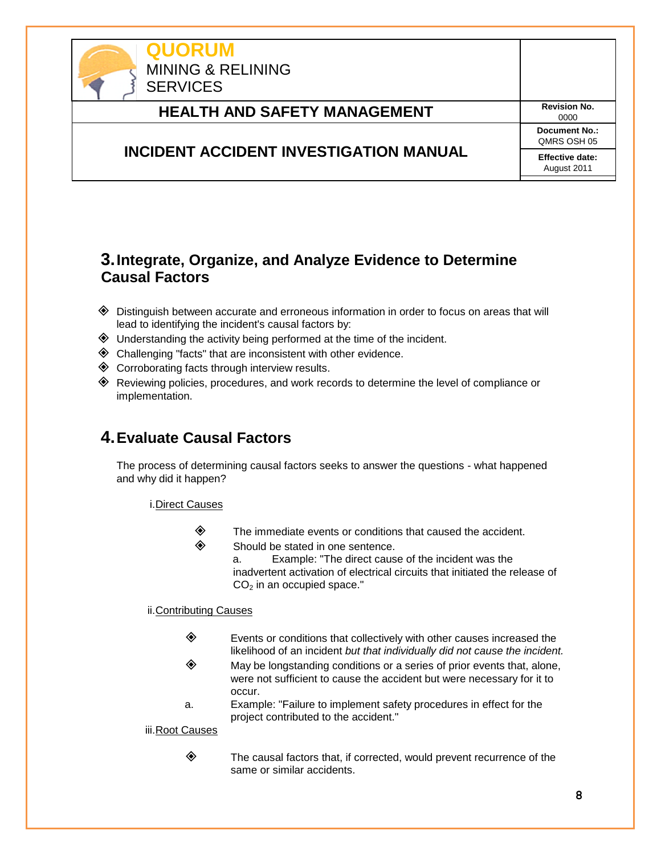

## <span id="page-7-0"></span>**3.Integrate, Organize, and Analyze Evidence to Determine Causal Factors**

- Distinguish between accurate and erroneous information in order to focus on areas that will lead to identifying the incident's causal factors by:
- $\diamondsuit$  Understanding the activity being performed at the time of the incident.
- $\diamondsuit$  Challenging "facts" that are inconsistent with other evidence.
- ◆ Corroborating facts through interview results.
- Reviewing policies, procedures, and work records to determine the level of compliance or implementation.

## <span id="page-7-1"></span>**4.Evaluate Causal Factors**

The process of determining causal factors seeks to answer the questions - what happened and why did it happen?

i.Direct Causes

- $\diamondsuit$  The immediate events or conditions that caused the accident.
- $\diamondsuit$  Should be stated in one sentence.

a. Example: "The direct cause of the incident was the inadvertent activation of electrical circuits that initiated the release of  $CO<sub>2</sub>$  in an occupied space."

#### ii.Contributing Causes

- $\diamondsuit$  Events or conditions that collectively with other causes increased the likelihood of an incident *but that individually did not cause the incident.*
- $\diamondsuit$  May be longstanding conditions or a series of prior events that, alone, were not sufficient to cause the accident but were necessary for it to occur.
- a. Example: "Failure to implement safety procedures in effect for the project contributed to the accident."

iii.Root Causes

 $\diamondsuit$  The causal factors that, if corrected, would prevent recurrence of the same or similar accidents.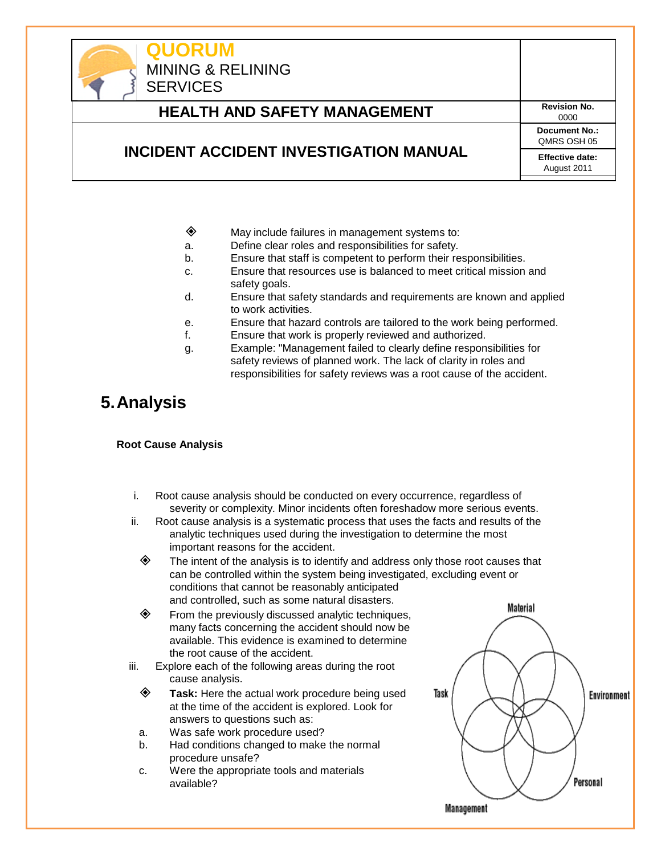

- $\diamondsuit$  May include failures in management systems to:
- a. Define clear roles and responsibilities for safety.
- b. Ensure that staff is competent to perform their responsibilities.
- c. Ensure that resources use is balanced to meet critical mission and safety goals.
- d. Ensure that safety standards and requirements are known and applied to work activities.
- e. Ensure that hazard controls are tailored to the work being performed.
- f. Ensure that work is properly reviewed and authorized.
- g. Example: "Management failed to clearly define responsibilities for safety reviews of planned work. The lack of clarity in roles and responsibilities for safety reviews was a root cause of the accident.

# <span id="page-8-0"></span>**5.Analysis**

#### **Root Cause Analysis**

- i. Root cause analysis should be conducted on every occurrence, regardless of severity or complexity. Minor incidents often foreshadow more serious events.
- ii. Root cause analysis is a systematic process that uses the facts and results of the analytic techniques used during the investigation to determine the most important reasons for the accident.
	- $\diamond$  The intent of the analysis is to identify and address only those root causes that can be controlled within the system being investigated, excluding event or conditions that cannot be reasonably anticipated and controlled, such as some natural disasters.
	- $\diamond$  From the previously discussed analytic techniques, many facts concerning the accident should now be available. This evidence is examined to determine the root cause of the accident.
- iii. Explore each of the following areas during the root cause analysis.
	- **Task:** Here the actual work procedure being used at the time of the accident is explored. Look for answers to questions such as:
	- a. Was safe work procedure used?
	- b. Had conditions changed to make the normal procedure unsafe?
	- c. Were the appropriate tools and materials available?

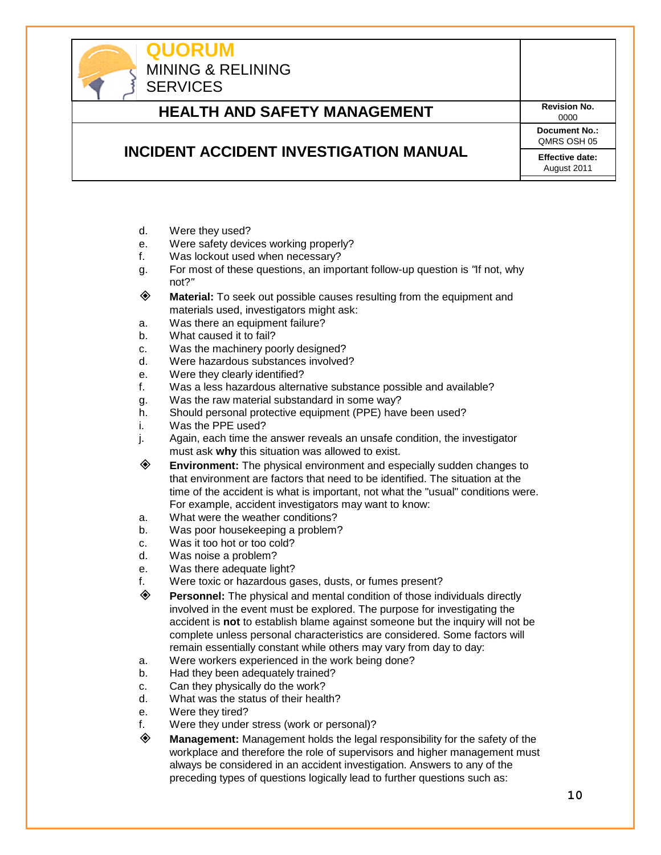

# **HEALTH AND SAFETY MANAGEMENT** Revision No.

0000 **Document No.:** QMRS OSH 05 **Effective date:**

August 2011

## **INCIDENT ACCIDENT INVESTIGATION MANUAL**

- d. Were they used?
- e. Were safety devices working properly?
- f. Was lockout used when necessary?
- g. For most of these questions, an important follow-up question is *"*If not, why not?*"*
- **Material:** To seek out possible causes resulting from the equipment and materials used, investigators might ask:
- a. Was there an equipment failure?
- b. What caused it to fail?
- c. Was the machinery poorly designed?
- d. Were hazardous substances involved?
- e. Were they clearly identified?
- f. Was a less hazardous alternative substance possible and available?
- g. Was the raw material substandard in some way?
- h. Should personal protective equipment (PPE) have been used?
- i. Was the PPE used?
- j. Again, each time the answer reveals an unsafe condition, the investigator must ask **why** this situation was allowed to exist.
- **Environment:** The physical environment and especially sudden changes to that environment are factors that need to be identified. The situation at the time of the accident is what is important, not what the "usual" conditions were. For example, accident investigators may want to know:
- a. What were the weather conditions?
- b. Was poor housekeeping a problem?
- c. Was it too hot or too cold?
- d. Was noise a problem?
- e. Was there adequate light?
- f. Were toxic or hazardous gases, dusts, or fumes present?
- **Personnel:** The physical and mental condition of those individuals directly involved in the event must be explored. The purpose for investigating the accident is **not** to establish blame against someone but the inquiry will not be complete unless personal characteristics are considered. Some factors will remain essentially constant while others may vary from day to day:
- a. Were workers experienced in the work being done?
- b. Had they been adequately trained?
- c. Can they physically do the work?
- d. What was the status of their health?
- e. Were they tired?
- f. Were they under stress (work or personal)?
- **Management:** Management holds the legal responsibility for the safety of the workplace and therefore the role of supervisors and higher management must always be considered in an accident investigation. Answers to any of the preceding types of questions logically lead to further questions such as: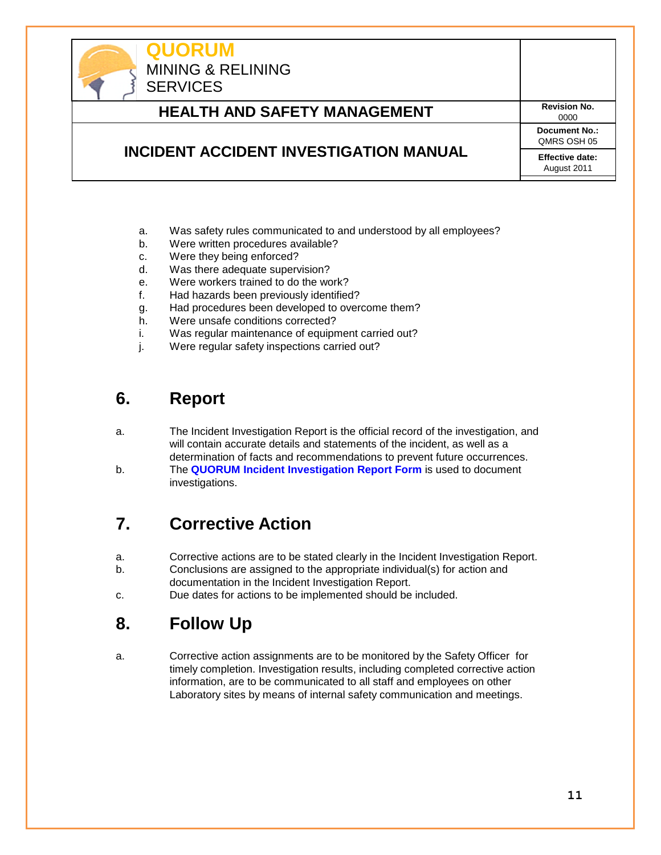

- a. Was safety rules communicated to and understood by all employees?
- b. Were written procedures available?
- c. Were they being enforced?
- d. Was there adequate supervision?
- e. Were workers trained to do the work?
- f. Had hazards been previously identified?
- g. Had procedures been developed to overcome them?
- h. Were unsafe conditions corrected?
- i. Was regular maintenance of equipment carried out?
- j. Were regular safety inspections carried out?

# <span id="page-10-0"></span>**6. Report**

- a. The Incident Investigation Report is the official record of the investigation, and will contain accurate details and statements of the incident, as well as a determination of facts and recommendations to prevent future occurrences.
- b. The **QUORUM Incident Investigation Report Form** is used to document investigations.

# <span id="page-10-1"></span>**7. Corrective Action**

- a. Corrective actions are to be stated clearly in the Incident Investigation Report.
- b. Conclusions are assigned to the appropriate individual(s) for action and documentation in the Incident Investigation Report.
- <span id="page-10-2"></span>c. Due dates for actions to be implemented should be included.

# **8. Follow Up**

a. Corrective action assignments are to be monitored by the Safety Officer for timely completion. Investigation results, including completed corrective action information, are to be communicated to all staff and employees on other Laboratory sites by means of internal safety communication and meetings.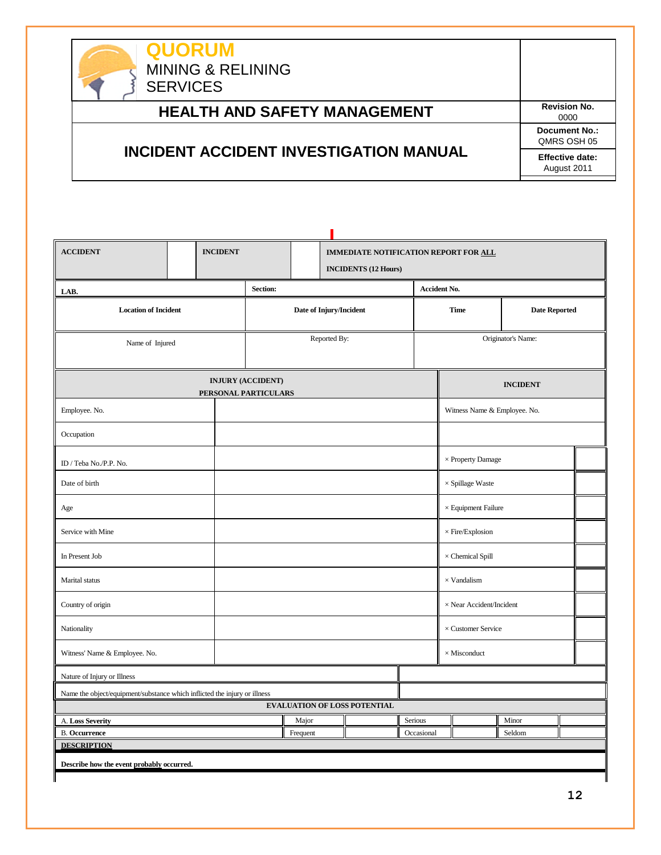| <b>QUORUM</b><br><b>MINING &amp; RELINING</b><br><b>SERVICES</b> |                                       |
|------------------------------------------------------------------|---------------------------------------|
| <b>HEALTH AND SAFETY MANAGEMENT</b>                              | <b>Revision No.</b><br>0000           |
|                                                                  | Document No.:<br>QMRS OSH 05          |
| INCIDENT ACCIDENT INVESTIGATION MANUAL                           | <b>Effective date:</b><br>August 2011 |

| <b>ACCIDENT</b>                                                           |                                           | <b>INCIDENT</b>      |                          |                         | IMMEDIATE NOTIFICATION REPORT FOR ALL |                                     |            |                            |                                 |                    |                      |  |
|---------------------------------------------------------------------------|-------------------------------------------|----------------------|--------------------------|-------------------------|---------------------------------------|-------------------------------------|------------|----------------------------|---------------------------------|--------------------|----------------------|--|
|                                                                           | <b>INCIDENTS (12 Hours)</b>               |                      |                          |                         |                                       |                                     |            |                            |                                 |                    |                      |  |
| Section:<br><b>Accident No.</b><br>LAB.                                   |                                           |                      |                          |                         |                                       |                                     |            |                            |                                 |                    |                      |  |
| <b>Location of Incident</b>                                               |                                           |                      |                          | Date of Injury/Incident |                                       |                                     |            | <b>Time</b>                |                                 |                    | <b>Date Reported</b> |  |
| Name of Injured                                                           |                                           |                      |                          |                         | Reported By:                          |                                     |            |                            |                                 | Originator's Name: |                      |  |
|                                                                           |                                           | PERSONAL PARTICULARS | <b>INJURY (ACCIDENT)</b> |                         |                                       |                                     |            |                            |                                 | <b>INCIDENT</b>    |                      |  |
| Employee. No.                                                             |                                           |                      |                          |                         |                                       |                                     |            |                            | Witness Name & Employee. No.    |                    |                      |  |
| Occupation                                                                |                                           |                      |                          |                         |                                       |                                     |            |                            |                                 |                    |                      |  |
| ID / Teba No./P.P. No.                                                    |                                           |                      |                          |                         |                                       |                                     |            |                            | $\times$ Property Damage        |                    |                      |  |
| Date of birth                                                             |                                           |                      |                          |                         |                                       |                                     |            | $\times$ Spillage Waste    |                                 |                    |                      |  |
| Age                                                                       |                                           |                      |                          |                         |                                       |                                     |            | $\times$ Equipment Failure |                                 |                    |                      |  |
| Service with Mine                                                         |                                           |                      |                          |                         |                                       |                                     |            | $\times$ Fire/Explosion    |                                 |                    |                      |  |
| In Present Job                                                            |                                           |                      |                          |                         |                                       |                                     |            |                            | $\times$ Chemical Spill         |                    |                      |  |
| Marital status                                                            |                                           |                      |                          |                         |                                       |                                     |            |                            | $\times$ Vandalism              |                    |                      |  |
| Country of origin                                                         |                                           |                      |                          |                         |                                       |                                     |            |                            | $\times$ Near Accident/Incident |                    |                      |  |
| Nationality                                                               |                                           |                      |                          |                         |                                       |                                     |            |                            | $\times$ Customer Service       |                    |                      |  |
| Witness' Name & Employee. No.<br>$\times$ Misconduct                      |                                           |                      |                          |                         |                                       |                                     |            |                            |                                 |                    |                      |  |
| Nature of Injury or Illness                                               |                                           |                      |                          |                         |                                       |                                     |            |                            |                                 |                    |                      |  |
| Name the object/equipment/substance which inflicted the injury or illness |                                           |                      |                          |                         |                                       |                                     |            |                            |                                 |                    |                      |  |
|                                                                           |                                           |                      |                          |                         |                                       | <b>EVALUATION OF LOSS POTENTIAL</b> |            |                            |                                 |                    |                      |  |
| A. Loss Severity                                                          |                                           |                      |                          | Major                   |                                       |                                     | Serious    |                            |                                 | Minor              |                      |  |
| <b>B.</b> Occurrence                                                      |                                           |                      |                          | Frequent                |                                       |                                     | Occasional |                            |                                 | Seldom             |                      |  |
| <b>DESCRIPTION</b>                                                        |                                           |                      |                          |                         |                                       |                                     |            |                            |                                 |                    |                      |  |
|                                                                           | Describe how the event probably occurred. |                      |                          |                         |                                       |                                     |            |                            |                                 |                    |                      |  |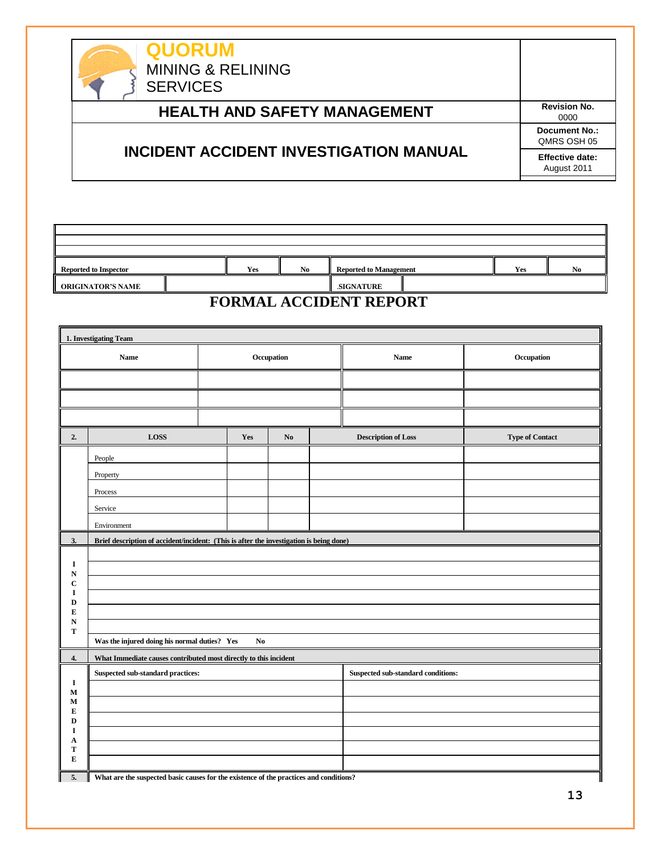| <b>QUORUM</b><br><b>MINING &amp; RELINING</b><br><b>SERVICES</b> |                                       |
|------------------------------------------------------------------|---------------------------------------|
| <b>HEALTH AND SAFETY MANAGEMENT</b>                              | <b>Revision No.</b><br>0000           |
|                                                                  | <b>Document No.:</b><br>QMRS OSH 05   |
| <b>INCIDENT ACCIDENT INVESTIGATION MANUAL</b>                    | <b>Effective date:</b><br>August 2011 |

| $-1$<br>Yes<br>N <sub>0</sub><br><b>Reported to Management</b><br><b>Reported to Inspector</b><br>Yes |  |  |  |  |  |  |                |  |  |  |
|-------------------------------------------------------------------------------------------------------|--|--|--|--|--|--|----------------|--|--|--|
|                                                                                                       |  |  |  |  |  |  | N <sub>0</sub> |  |  |  |
| ORIGINATOR'S NAME<br><b>SIGNATURE</b>                                                                 |  |  |  |  |  |  |                |  |  |  |

### **FORMAL ACCIDENT REPORT**

|                            | 1. Investigating Team                                                                   |            |                |                |  |                                    |                        |
|----------------------------|-----------------------------------------------------------------------------------------|------------|----------------|----------------|--|------------------------------------|------------------------|
|                            | Name                                                                                    | Occupation |                |                |  | <b>Name</b>                        | ${\bf Occupation}$     |
|                            |                                                                                         |            |                |                |  |                                    |                        |
|                            |                                                                                         |            |                |                |  |                                    |                        |
|                            |                                                                                         |            |                |                |  |                                    |                        |
| 2.                         | <b>LOSS</b>                                                                             |            | Yes            | N <sub>o</sub> |  | <b>Description of Loss</b>         | <b>Type of Contact</b> |
|                            | People                                                                                  |            |                |                |  |                                    |                        |
|                            | Property                                                                                |            |                |                |  |                                    |                        |
|                            | Process                                                                                 |            |                |                |  |                                    |                        |
|                            | Service                                                                                 |            |                |                |  |                                    |                        |
|                            | Environment                                                                             |            |                |                |  |                                    |                        |
| 3.                         | Brief description of accident/incident: (This is after the investigation is being done) |            |                |                |  |                                    |                        |
|                            |                                                                                         |            |                |                |  |                                    |                        |
| I<br>${\bf N}$             |                                                                                         |            |                |                |  |                                    |                        |
| $\mathbf C$<br>I           |                                                                                         |            |                |                |  |                                    |                        |
| $\mathbf D$                |                                                                                         |            |                |                |  |                                    |                        |
| ${\bf E}$<br>${\bf N}$     |                                                                                         |            |                |                |  |                                    |                        |
| T                          | Was the injured doing his normal duties? Yes                                            |            | N <sub>0</sub> |                |  |                                    |                        |
|                            | What Immediate causes contributed most directly to this incident                        |            |                |                |  |                                    |                        |
| 4.                         | Suspected sub-standard practices:                                                       |            |                |                |  | Suspected sub-standard conditions: |                        |
| $\mathbf I$                |                                                                                         |            |                |                |  |                                    |                        |
| $\mathbf M$<br>$\mathbf M$ |                                                                                         |            |                |                |  |                                    |                        |
| ${\bf E}$<br>$\mathbf D$   |                                                                                         |            |                |                |  |                                    |                        |
| I                          |                                                                                         |            |                |                |  |                                    |                        |
| A<br>T                     |                                                                                         |            |                |                |  |                                    |                        |
| ${\bf E}$                  |                                                                                         |            |                |                |  |                                    |                        |
| 5.                         | What are the suspected basic causes for the existence of the practices and conditions?  |            |                |                |  |                                    |                        |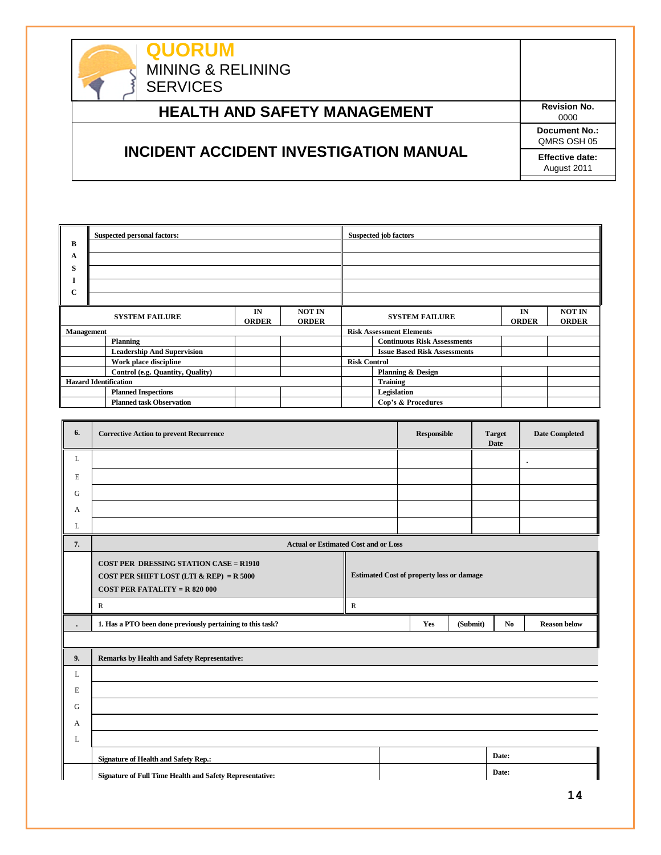

# **HEALTH AND SAFETY MANAGEMENT** Revision No.

## **INCIDENT ACCIDENT INVESTIGATION MANUAL**

0000 **Document No.:** QMRS OSH 05 **Effective date:** August 2011

|                                                                              | <b>Suspected personal factors:</b> |  |  |                                                                              | <b>Suspected job factors</b>        |  |  |  |  |
|------------------------------------------------------------------------------|------------------------------------|--|--|------------------------------------------------------------------------------|-------------------------------------|--|--|--|--|
| B                                                                            |                                    |  |  |                                                                              |                                     |  |  |  |  |
| A                                                                            |                                    |  |  |                                                                              |                                     |  |  |  |  |
| S                                                                            |                                    |  |  |                                                                              |                                     |  |  |  |  |
| л.                                                                           |                                    |  |  |                                                                              |                                     |  |  |  |  |
| C                                                                            |                                    |  |  |                                                                              |                                     |  |  |  |  |
| <b>NOT IN</b><br>IN<br><b>SYSTEM FAILURE</b><br><b>ORDER</b><br><b>ORDER</b> |                                    |  |  | <b>NOT IN</b><br>IN<br><b>SYSTEM FAILURE</b><br><b>ORDER</b><br><b>ORDER</b> |                                     |  |  |  |  |
| <b>Management</b>                                                            |                                    |  |  | <b>Risk Assessment Elements</b>                                              |                                     |  |  |  |  |
|                                                                              | Planning                           |  |  |                                                                              | <b>Continuous Risk Assessments</b>  |  |  |  |  |
|                                                                              | <b>Leadership And Supervision</b>  |  |  |                                                                              | <b>Issue Based Risk Assessments</b> |  |  |  |  |
| Work place discipline                                                        |                                    |  |  | <b>Risk Control</b>                                                          |                                     |  |  |  |  |
|                                                                              | Control (e.g. Quantity, Quality)   |  |  |                                                                              | <b>Planning &amp; Design</b>        |  |  |  |  |
| <b>Hazard Identification</b>                                                 |                                    |  |  | <b>Training</b>                                                              |                                     |  |  |  |  |
|                                                                              | <b>Planned Inspections</b>         |  |  |                                                                              | Legislation                         |  |  |  |  |
|                                                                              | <b>Planned task Observation</b>    |  |  |                                                                              | Cop's & Procedures                  |  |  |  |  |

| 6. | <b>Corrective Action to prevent Recurrence</b>                                                                                      |                                                  | <b>Responsible</b> |          | <b>Target</b><br><b>Date</b> |       | <b>Date Completed</b> |
|----|-------------------------------------------------------------------------------------------------------------------------------------|--------------------------------------------------|--------------------|----------|------------------------------|-------|-----------------------|
| L  |                                                                                                                                     |                                                  |                    |          |                              |       | $\bullet$             |
| E  |                                                                                                                                     |                                                  |                    |          |                              |       |                       |
| G  |                                                                                                                                     |                                                  |                    |          |                              |       |                       |
| A  |                                                                                                                                     |                                                  |                    |          |                              |       |                       |
| L  |                                                                                                                                     |                                                  |                    |          |                              |       |                       |
| 7. | <b>Actual or Estimated Cost and or Loss</b>                                                                                         |                                                  |                    |          |                              |       |                       |
|    | <b>COST PER DRESSING STATION CASE = R1910</b><br>COST PER SHIFT LOST (LTI & REP) = $R$ 5000<br><b>COST PER FATALITY = R 820 000</b> | <b>Estimated Cost of property loss or damage</b> |                    |          |                              |       |                       |
|    | ${\bf R}$                                                                                                                           | ${\bf R}$                                        |                    |          |                              |       |                       |
|    | 1. Has a PTO been done previously pertaining to this task?                                                                          |                                                  | Yes                | (Submit) |                              | No.   | <b>Reason below</b>   |
|    |                                                                                                                                     |                                                  |                    |          |                              |       |                       |
| 9. | <b>Remarks by Health and Safety Representative:</b>                                                                                 |                                                  |                    |          |                              |       |                       |
| L  |                                                                                                                                     |                                                  |                    |          |                              |       |                       |
| E  |                                                                                                                                     |                                                  |                    |          |                              |       |                       |
| G  |                                                                                                                                     |                                                  |                    |          |                              |       |                       |
| A  |                                                                                                                                     |                                                  |                    |          |                              |       |                       |
| L  |                                                                                                                                     |                                                  |                    |          |                              |       |                       |
|    | <b>Signature of Health and Safety Rep.:</b>                                                                                         |                                                  |                    |          |                              | Date: |                       |
|    | <b>Signature of Full Time Health and Safety Representative:</b>                                                                     |                                                  |                    |          |                              | Date: |                       |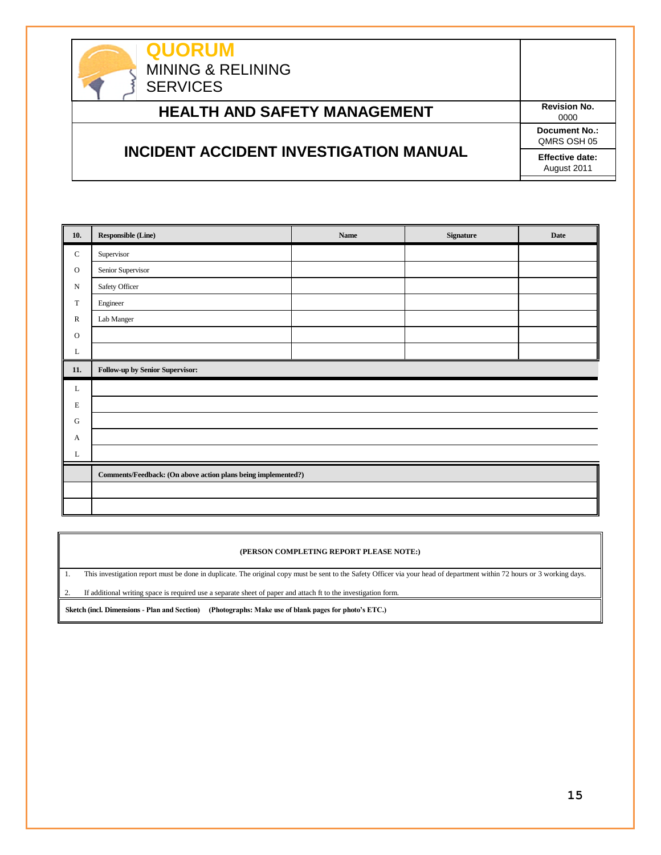**QUORUM** MINING & RELINING **SERVICES HEALTH AND SAFETY MANAGEMENT** Revision No. 0000 **INCIDENT ACCIDENT INVESTIGATION MANUAL Document No.:** QMRS OSH 05 **Effective date:** August 2011

| 10.           | <b>Responsible (Line)</b>                                     | Name | Signature | Date |  |  |
|---------------|---------------------------------------------------------------|------|-----------|------|--|--|
| $\mathbf C$   | Supervisor                                                    |      |           |      |  |  |
| ${\rm O}$     | Senior Supervisor                                             |      |           |      |  |  |
| ${\bf N}$     | Safety Officer                                                |      |           |      |  |  |
| $\mathbf T$   | Engineer                                                      |      |           |      |  |  |
| ${\mathbb R}$ | Lab Manger                                                    |      |           |      |  |  |
| $\mathbf{O}$  |                                                               |      |           |      |  |  |
| L             |                                                               |      |           |      |  |  |
| 11.           | Follow-up by Senior Supervisor:                               |      |           |      |  |  |
| L             |                                                               |      |           |      |  |  |
| $\mathbf E$   |                                                               |      |           |      |  |  |
| ${\bf G}$     |                                                               |      |           |      |  |  |
| A             |                                                               |      |           |      |  |  |
| L             |                                                               |      |           |      |  |  |
|               | Comments/Feedback: (On above action plans being implemented?) |      |           |      |  |  |
|               |                                                               |      |           |      |  |  |
|               |                                                               |      |           |      |  |  |

#### **(PERSON COMPLETING REPORT PLEASE NOTE:)**

1. This investigation report must be done in duplicate. The original copy must be sent to the Safety Officer via your head of department within 72 hours or 3 working days.

2. If additional writing space is required use a separate sheet of paper and attach ft to the investigation form.

**Sketch (incl. Dimensions - Plan and Section) (Photographs: Make use of blank pages for photo's ETC.)**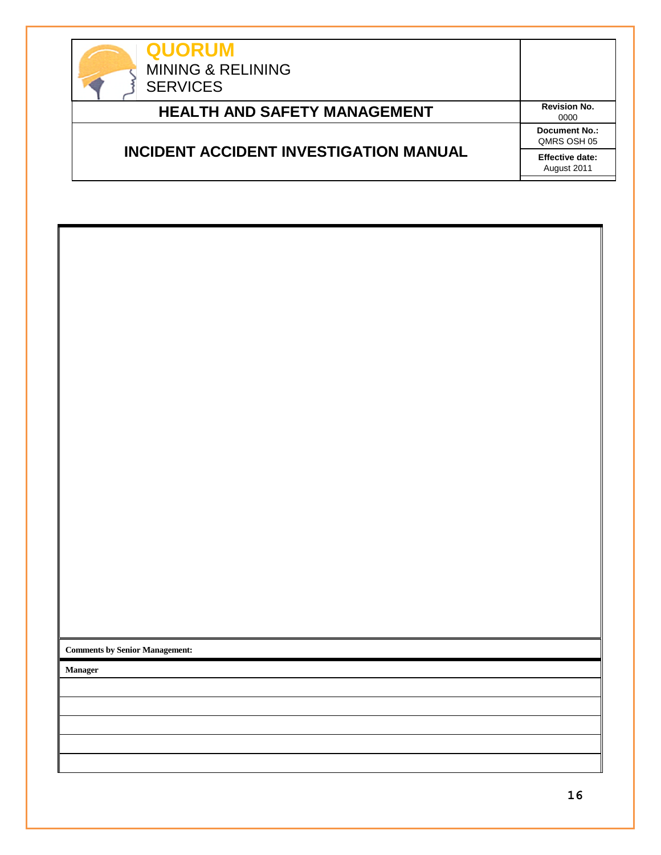

| <b>QUORUM</b><br><b>MINING &amp; RELINING</b><br><b>SERVICES</b> |                                       |
|------------------------------------------------------------------|---------------------------------------|
| <b>HEALTH AND SAFETY MANAGEMENT</b>                              | <b>Revision No.</b><br>0000           |
|                                                                  | Document No.:<br>QMRS OSH 05          |
| <b>INCIDENT ACCIDENT INVESTIGATION MANUAL</b>                    | <b>Effective date:</b><br>August 2011 |

| <b>Comments by Senior Management:</b> |  |
|---------------------------------------|--|
| Manager                               |  |
|                                       |  |
|                                       |  |
|                                       |  |
|                                       |  |
|                                       |  |